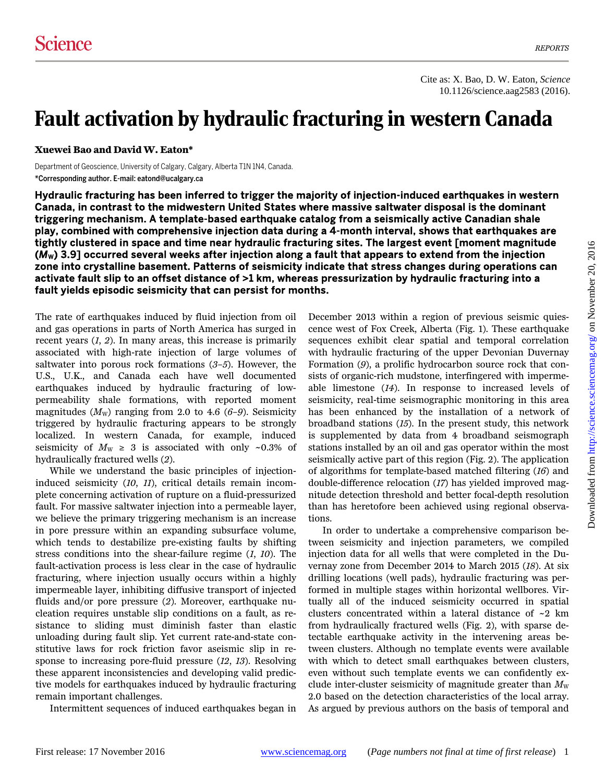## Fault activation by hydraulic fracturing in western Canada

**Xuewei Bao and David W. Eaton\*** 

Department of Geoscience, University of Calgary, Calgary, Alberta T1N 1N4, Canada. \*Corresponding author. E-mail: eatond@ucalgary.ca

Hydraulic fracturing has been inferred to trigger the majority of injection-induced earthquakes in western Canada, in contrast to the midwestern United States where massive saltwater disposal is the dominant triggering mechanism. A template-based earthquake catalog from a seismically active Canadian shale play, combined with comprehensive injection data during a 4-month interval, shows that earthquakes are tightly clustered in space and time near hydraulic fracturing sites. The largest event [moment magnitude (M<sub>W</sub>) 3.9] occurred several weeks after injection along a fault that appears to extend from the injection zone into crystalline basement. Patterns of seismicity indicate that stress changes during operations can activate fault slip to an offset distance of >1 km, whereas pressurization by hydraulic fracturing into a fault yields episodic seismicity that can persist for months.

The rate of earthquakes induced by fluid injection from oil and gas operations in parts of North America has surged in recent years (*1*, *2*). In many areas, this increase is primarily associated with high-rate injection of large volumes of saltwater into porous rock formations (*3*–*5*). However, the U.S., U.K., and Canada each have well documented earthquakes induced by hydraulic fracturing of lowpermeability shale formations, with reported moment magnitudes  $(M_{\rm W})$  ranging from 2.0 to 4.6 (6–9). Seismicity triggered by hydraulic fracturing appears to be strongly localized. In western Canada, for example, induced seismicity of  $M_W \geq 3$  is associated with only ~0.3% of hydraulically fractured wells (*2*).

While we understand the basic principles of injectioninduced seismicity (*10*, *11*), critical details remain incomplete concerning activation of rupture on a fluid-pressurized fault. For massive saltwater injection into a permeable layer, we believe the primary triggering mechanism is an increase in pore pressure within an expanding subsurface volume, which tends to destabilize pre-existing faults by shifting stress conditions into the shear-failure regime (*1*, *10*). The fault-activation process is less clear in the case of hydraulic fracturing, where injection usually occurs within a highly impermeable layer, inhibiting diffusive transport of injected fluids and/or pore pressure (*2*). Moreover, earthquake nucleation requires unstable slip conditions on a fault, as resistance to sliding must diminish faster than elastic unloading during fault slip. Yet current rate-and-state constitutive laws for rock friction favor aseismic slip in response to increasing pore-fluid pressure (*12*, *13*). Resolving these apparent inconsistencies and developing valid predictive models for earthquakes induced by hydraulic fracturing remain important challenges.

Intermittent sequences of induced earthquakes began in

December 2013 within a region of previous seismic quiescence west of Fox Creek, Alberta (Fig. 1). These earthquake sequences exhibit clear spatial and temporal correlation with hydraulic fracturing of the upper Devonian Duvernay Formation (*9*), a prolific hydrocarbon source rock that consists of organic-rich mudstone, interfingered with impermeable limestone (*14*). In response to increased levels of seismicity, real-time seismographic monitoring in this area has been enhanced by the installation of a network of broadband stations (*15*). In the present study, this network is supplemented by data from 4 broadband seismograph stations installed by an oil and gas operator within the most seismically active part of this region (Fig. 2). The application of algorithms for template-based matched filtering (*16*) and double-difference relocation (*17*) has yielded improved magnitude detection threshold and better focal-depth resolution than has heretofore been achieved using regional observations.

In order to undertake a comprehensive comparison between seismicity and injection parameters, we compiled injection data for all wells that were completed in the Duvernay zone from December 2014 to March 2015 (*18*). At six drilling locations (well pads), hydraulic fracturing was performed in multiple stages within horizontal wellbores. Virtually all of the induced seismicity occurred in spatial clusters concentrated within a lateral distance of ~2 km from hydraulically fractured wells (Fig. 2), with sparse detectable earthquake activity in the intervening areas between clusters. Although no template events were available with which to detect small earthquakes between clusters, even without such template events we can confidently exclude inter-cluster seismicity of magnitude greater than  $M_{\text{W}}$ 2.0 based on the detection characteristics of the local array. As argued by previous authors on the basis of temporal and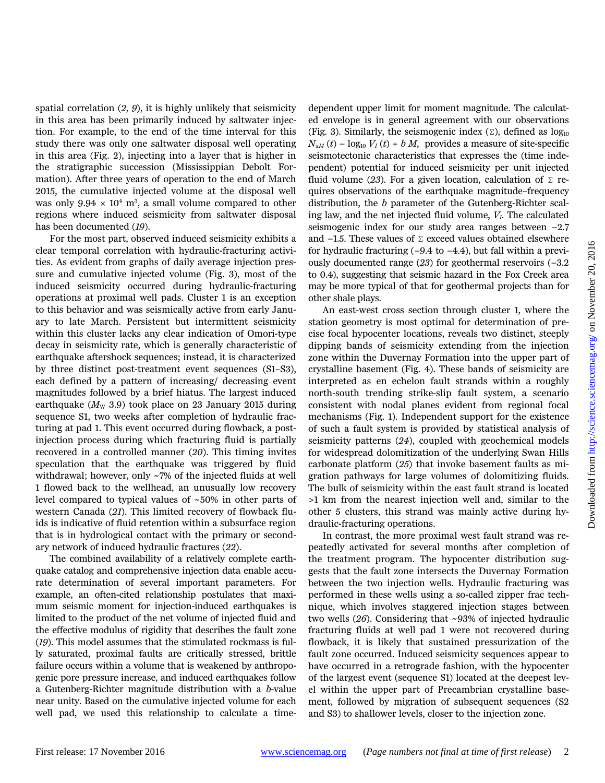spatial correlation (*2*, *9*), it is highly unlikely that seismicity in this area has been primarily induced by saltwater injection. For example, to the end of the time interval for this study there was only one saltwater disposal well operating in this area (Fig. 2), injecting into a layer that is higher in the stratigraphic succession (Mississippian Debolt Formation). After three years of operation to the end of March 2015, the cumulative injected volume at the disposal well was only  $9.94 \times 10^4$  m<sup>3</sup>, a small volume compared to other regions where induced seismicity from saltwater disposal has been documented (*19*).

For the most part, observed induced seismicity exhibits a clear temporal correlation with hydraulic-fracturing activities. As evident from graphs of daily average injection pressure and cumulative injected volume (Fig. 3), most of the induced seismicity occurred during hydraulic-fracturing operations at proximal well pads. Cluster 1 is an exception to this behavior and was seismically active from early January to late March. Persistent but intermittent seismicity within this cluster lacks any clear indication of Omori-type decay in seismicity rate, which is generally characteristic of earthquake aftershock sequences; instead, it is characterized by three distinct post-treatment event sequences (S1–S3), each defined by a pattern of increasing/ decreasing event magnitudes followed by a brief hiatus. The largest induced earthquake ( $M_{\rm W}$  3.9) took place on 23 January 2015 during sequence S1, two weeks after completion of hydraulic fracturing at pad 1. This event occurred during flowback, a postinjection process during which fracturing fluid is partially recovered in a controlled manner (*20*). This timing invites speculation that the earthquake was triggered by fluid withdrawal; however, only ~7% of the injected fluids at well 1 flowed back to the wellhead, an unusually low recovery level compared to typical values of ~50% in other parts of western Canada (*21*). This limited recovery of flowback fluids is indicative of fluid retention within a subsurface region that is in hydrological contact with the primary or secondary network of induced hydraulic fractures (*22*).

The combined availability of a relatively complete earthquake catalog and comprehensive injection data enable accurate determination of several important parameters. For example, an often-cited relationship postulates that maximum seismic moment for injection-induced earthquakes is limited to the product of the net volume of injected fluid and the effective modulus of rigidity that describes the fault zone (*19*). This model assumes that the stimulated rockmass is fully saturated, proximal faults are critically stressed, brittle failure occurs within a volume that is weakened by anthropogenic pore pressure increase, and induced earthquakes follow a Gutenberg-Richter magnitude distribution with a *b*-value near unity. Based on the cumulative injected volume for each well pad, we used this relationship to calculate a time-

dependent upper limit for moment magnitude. The calculated envelope is in general agreement with our observations (Fig. 3). Similarly, the seismogenic index  $(\Sigma)$ , defined as  $\log_{10}$  $N_{\geq M}(t) - \log_{10} V_I(t) + b M$ , provides a measure of site-specific seismotectonic characteristics that expresses the (time independent) potential for induced seismicity per unit injected fluid volume (23). For a given location, calculation of  $\Sigma$  requires observations of the earthquake magnitude–frequency distribution, the *b* parameter of the Gutenberg-Richter scaling law, and the net injected fluid volume, *VI*. The calculated seismogenic index for our study area ranges between −2.7 and -1.5. These values of Σ exceed values obtained elsewhere for hydraulic fracturing (−9.4 to −4.4), but fall within a previously documented range (*23*) for geothermal reservoirs (−3.2 to 0.4), suggesting that seismic hazard in the Fox Creek area may be more typical of that for geothermal projects than for other shale plays.

An east-west cross section through cluster 1, where the station geometry is most optimal for determination of precise focal hypocenter locations, reveals two distinct, steeply dipping bands of seismicity extending from the injection zone within the Duvernay Formation into the upper part of crystalline basement (Fig. 4). These bands of seismicity are interpreted as en echelon fault strands within a roughly north-south trending strike-slip fault system, a scenario consistent with nodal planes evident from regional focal mechanisms (Fig. 1). Independent support for the existence of such a fault system is provided by statistical analysis of seismicity patterns (*24*), coupled with geochemical models for widespread dolomitization of the underlying Swan Hills carbonate platform (*25*) that invoke basement faults as migration pathways for large volumes of dolomitizing fluids. The bulk of seismicity within the east fault strand is located >1 km from the nearest injection well and, similar to the other 5 clusters, this strand was mainly active during hydraulic-fracturing operations.

In contrast, the more proximal west fault strand was repeatedly activated for several months after completion of the treatment program. The hypocenter distribution suggests that the fault zone intersects the Duvernay Formation between the two injection wells. Hydraulic fracturing was performed in these wells using a so-called zipper frac technique, which involves staggered injection stages between two wells (*26*). Considering that ~93% of injected hydraulic fracturing fluids at well pad 1 were not recovered during flowback, it is likely that sustained pressurization of the fault zone occurred. Induced seismicity sequences appear to have occurred in a retrograde fashion, with the hypocenter of the largest event (sequence S1) located at the deepest level within the upper part of Precambrian crystalline basement, followed by migration of subsequent sequences (S2 and S3) to shallower levels, closer to the injection zone.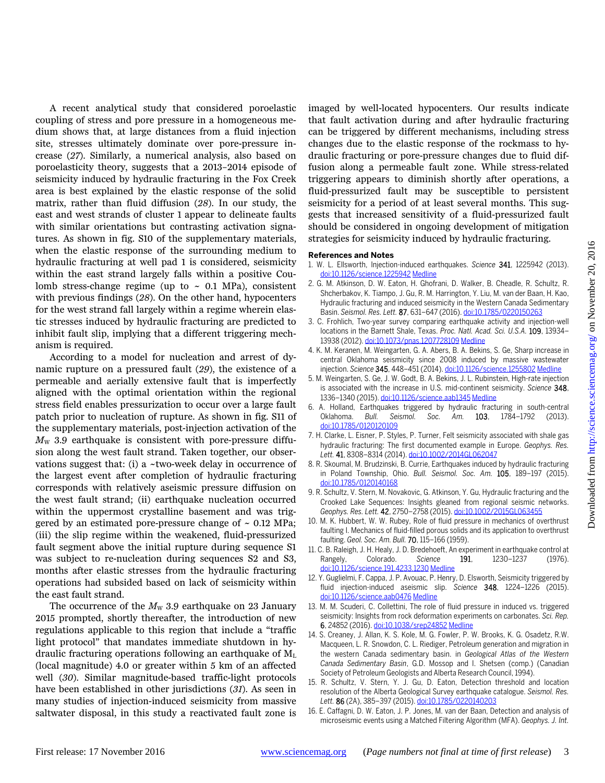A recent analytical study that considered poroelastic coupling of stress and pore pressure in a homogeneous medium shows that, at large distances from a fluid injection site, stresses ultimately dominate over pore-pressure increase (*27*). Similarly, a numerical analysis, also based on poroelasticity theory, suggests that a 2013–2014 episode of seismicity induced by hydraulic fracturing in the Fox Creek area is best explained by the elastic response of the solid matrix, rather than fluid diffusion (*28*). In our study, the east and west strands of cluster 1 appear to delineate faults with similar orientations but contrasting activation signatures. As shown in fig. S10 of the supplementary materials, when the elastic response of the surrounding medium to hydraulic fracturing at well pad 1 is considered, seismicity within the east strand largely falls within a positive Coulomb stress-change regime (up to  $\sim$  0.1 MPa), consistent with previous findings (*28*). On the other hand, hypocenters for the west strand fall largely within a regime wherein elastic stresses induced by hydraulic fracturing are predicted to inhibit fault slip, implying that a different triggering mechanism is required.

According to a model for nucleation and arrest of dynamic rupture on a pressured fault (*29*), the existence of a permeable and aerially extensive fault that is imperfectly aligned with the optimal orientation within the regional stress field enables pressurization to occur over a large fault patch prior to nucleation of rupture. As shown in fig. S11 of the supplementary materials, post-injection activation of the  $M_{\rm W}$  3.9 earthquake is consistent with pore-pressure diffusion along the west fault strand. Taken together, our observations suggest that: (i) a  $\sim$ two-week delay in occurrence of the largest event after completion of hydraulic fracturing corresponds with relatively aseismic pressure diffusion on the west fault strand; (ii) earthquake nucleation occurred within the uppermost crystalline basement and was triggered by an estimated pore-pressure change of  $\sim 0.12$  MPa; (iii) the slip regime within the weakened, fluid-pressurized fault segment above the initial rupture during sequence S1 was subject to re-nucleation during sequences S2 and S3, months after elastic stresses from the hydraulic fracturing operations had subsided based on lack of seismicity within the east fault strand.

The occurrence of the  $M_W$  3.9 earthquake on 23 January 2015 prompted, shortly thereafter, the introduction of new regulations applicable to this region that include a "traffic light protocol" that mandates immediate shutdown in hydraulic fracturing operations following an earthquake of  $M<sub>L</sub>$ (local magnitude) 4.0 or greater within 5 km of an affected well (*30*). Similar magnitude-based traffic-light protocols have been established in other jurisdictions (*31*). As seen in many studies of injection-induced seismicity from massive saltwater disposal, in this study a reactivated fault zone is imaged by well-located hypocenters. Our results indicate that fault activation during and after hydraulic fracturing can be triggered by different mechanisms, including stress changes due to the elastic response of the rockmass to hydraulic fracturing or pore-pressure changes due to fluid diffusion along a permeable fault zone. While stress-related triggering appears to diminish shortly after operations, a fluid-pressurized fault may be susceptible to persistent seismicity for a period of at least several months. This suggests that increased sensitivity of a fluid-pressurized fault should be considered in ongoing development of mitigation strategies for seismicity induced by hydraulic fracturing.

## **References and Notes**

- 1. W. L. Ellsworth, Injection-induced earthquakes. *Science* 341, 1225942 (2013). doi:10.1126/science.1225942 Medline
- 2. G. M. Atkinson, D. W. Eaton, H. Ghofrani, D. Walker, B. Cheadle, R. Schultz, R. Shcherbakov, K. Tiampo, J. Gu, R. M. Harrington, Y. Liu, M. van der Baan, H. Kao, Hydraulic fracturing and induced seismicity in the Western Canada Sedimentary Basin. *Seismol. Res. Lett.* 87, 631–647 (2016). doi:10.1785/0220150263
- 3. C. Frohlich, Two-year survey comparing earthquake activity and injection-well locations in the Barnett Shale, Texas. *Proc. Natl. Acad. Sci. U.S.A.* 109, 13934– 13938 (2012). doi:10.1073/pnas.1207728109 Medline
- 4. K. M. Keranen, M. Weingarten, G. A. Abers, B. A. Bekins, S. Ge, Sharp increase in central Oklahoma seismicity since 2008 induced by massive wastewater injection. *Science* 345, 448–451 (2014). doi:10.1126/science.1255802 Medline
- 5. M. Weingarten, S. Ge, J. W. Godt, B. A. Bekins, J. L. Rubinstein, High-rate injection is associated with the increase in U.S. mid-continent seismicity. *Science* 348, 1336–1340 (2015). doi:10.1126/science.aab1345 Medline
- 6. A. Holland, Earthquakes triggered by hydraulic fracturing in south-central Oklahoma. *Bull. Seismol. Soc. Am.* 103, 1784–1792 (2013). doi:10.1785/0120120109
- 7. H. Clarke, L. Eisner, P. Styles, P. Turner, Felt seismicity associated with shale gas hydraulic fracturing: The first documented example in Europe. *Geophys. Res. Lett.* 41, 8308–8314 (2014). doi:10.1002/2014GL062047
- 8. R. Skoumal, M. Brudzinski, B. Currie, Earthquakes induced by hydraulic fracturing in Poland Township, Ohio. *Bull. Seismol. Soc. Am.* 105, 189–197 (2015). doi:10.1785/0120140168
- 9. R. Schultz, V. Stern, M. Novakovic, G. Atkinson, Y. Gu, Hydraulic fracturing and the Crooked Lake Sequences: Insights gleaned from regional seismic networks. *Geophys. Res. Lett.* 42, 2750–2758 (2015). doi:10.1002/2015GL063455
- 10. M. K. Hubbert, W. W. Rubey, Role of fluid pressure in mechanics of overthrust faulting I. Mechanics of fluid-filled porous solids and its application to overthrust faulting. *Geol. Soc. Am. Bull.* 70, 115–166 (1959).
- 11. C. B. Raleigh, J. H. Healy, J. D. Bredehoeft, An experiment in earthquake control at<br>Rangely, Colorado. Science **191**, 1230–1237 (1976). Rangely, Colorado. Science **191**, 1230-1237 doi:10.1126/science.191.4233.1230 Medline
- 12. Y. Guglielmi, F. Cappa, J. P. Avouac, P. Henry, D. Elsworth, Seismicity triggered by fluid injection-induced aseismic slip. *Science* 348, 1224–1226 (2015). doi:10.1126/science.aab0476 Medline
- 13. M. M. Scuderi, C. Collettini, The role of fluid pressure in induced vs. triggered seismicity: Insights from rock deformation experiments on carbonates. *Sci. Rep.* 6, 24852 (2016). doi:10.1038/srep24852 Medline
- 14. S. Creaney, J. Allan, K. S. Kole, M. G. Fowler, P. W. Brooks, K. G. Osadetz, R.W. Macqueen, L. R. Snowdon, C. L. Riediger, Petroleum generation and migration in the western Canada sedimentary basin. in *Geological Atlas of the Western Canada Sedimentary Basin*, G.D. Mossop and I. Shetsen (comp.) (Canadian Society of Petroleum Geologists and Alberta Research Council, 1994).
- 15. R. Schultz, V. Stern, Y. J. Gu, D. Eaton, Detection threshold and location resolution of the Alberta Geological Survey earthquake catalogue. *Seismol. Res. Lett.* 86 (2A), 385–397 (2015). doi:10.1785/0220140203
- 16. E. Caffagni, D. W. Eaton, J. P. Jones, M. van der Baan, Detection and analysis of microseismic events using a Matched Filtering Algorithm (MFA). *Geophys. J. Int.*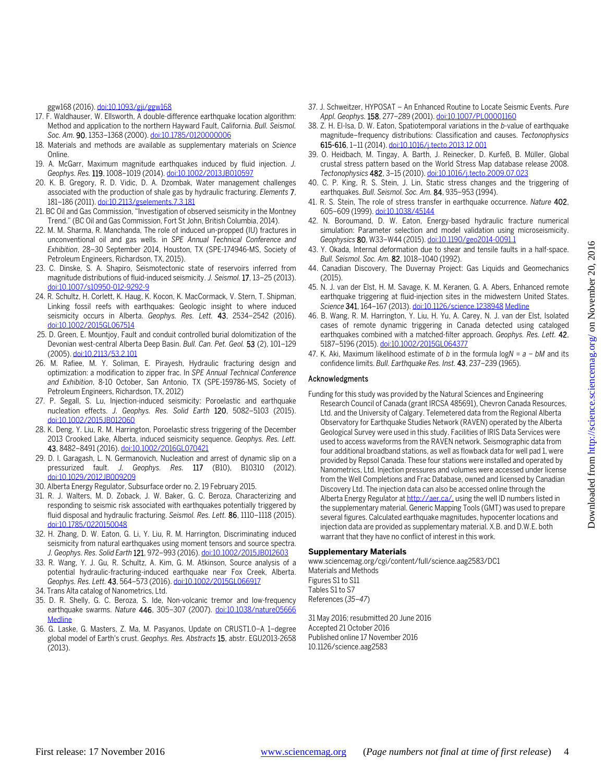ggw168 (2016). doi:10.1093/gji/ggw168

- 17. F. Waldhauser, W. Ellsworth, A double-difference earthquake location algorithm: Method and application to the northern Hayward Fault, California. *Bull. Seismol. Soc. Am.* 90, 1353–1368 (2000). doi:10.1785/0120000006
- 18. Materials and methods are available as supplementary materials on *Science* Online.
- 19. A. McGarr, Maximum magnitude earthquakes induced by fluid injection. *J. Geophys. Res.* 119, 1008–1019 (2014). doi:10.1002/2013JB010597
- 20. K. B. Gregory, R. D. Vidic, D. A. Dzombak, Water management challenges associated with the production of shale gas by hydraulic fracturing. *Elements* 7, 181–186 (2011). doi:10.2113/gselements.7.3.181
- 21. BC Oil and Gas Commission, "Investigation of observed seismicity in the Montney Trend." (BC Oil and Gas Commission, Fort St John, British Columbia, 2014).
- 22. M. M. Sharma, R. Manchanda, The role of induced un-propped (IU) fractures in unconventional oil and gas wells. in *SPE Annual Technical Conference and Exhibition*, 28–30 September 2014, Houston, TX (SPE-174946-MS, Society of Petroleum Engineers, Richardson, TX, 2015).
- 23. C. Dinske, S. A. Shapiro, Seismotectonic state of reservoirs inferred from magnitude distributions of fluid-induced seismicity. *J. Seismol.* 17, 13–25 (2013). doi:10.1007/s10950-012-9292-9
- 24. R. Schultz, H. Corlett, K. Haug, K. Kocon, K. MacCormack, V. Stern, T. Shipman, Linking fossil reefs with earthquakes: Geologic insight to where induced seismicity occurs in Alberta. *Geophys. Res. Lett.* 43, 2534–2542 (2016). doi:10.1002/2015GL067514
- 25. D. Green, E. Mountjoy, Fault and conduit controlled burial dolomitization of the Devonian west-central Alberta Deep Basin. *Bull. Can. Pet. Geol.* 53 (2), 101–129 (2005). doi:10.2113/53.2.101
- 26. M. Rafiee, M. Y. Soliman, E. Pirayesh, Hydraulic fracturing design and optimization: a modification to zipper frac. In *SPE Annual Technical Conference and Exhibition*, 8-10 October, San Antonio, TX (SPE-159786-MS, Society of Petroleum Engineers, Richardson, TX, 2012)
- 27. P. Segall, S. Lu, Injection-induced seismicity: Poroelastic and earthquake nucleation effects. *J. Geophys. Res. Solid Earth* 120, 5082–5103 (2015). doi:10.1002/2015JB012060
- 28. K. Deng, Y. Liu, R. M. Harrington, Poroelastic stress triggering of the December 2013 Crooked Lake, Alberta, induced seismicity sequence. *Geophys. Res. Lett.* 43, 8482–8491 (2016). doi:10.1002/2016GL070421
- 29. D. I. Garagash, L. N. Germanovich, Nucleation and arrest of dynamic slip on a pressurized fault. *J. Geophys. Res.* 117 (B10), B10310 (2012). doi:10.1029/2012JB009209
- 30. Alberta Energy Regulator, Subsurface order no. 2, 19 February 2015.
- 31. R. J. Walters, M. D. Zoback, J. W. Baker, G. C. Beroza, Characterizing and responding to seismic risk associated with earthquakes potentially triggered by fluid disposal and hydraulic fracturing. *Seismol. Res. Lett.* 86, 1110–1118 (2015). doi:10.1785/0220150048
- 32. H. Zhang, D. W. Eaton, G. Li, Y. Liu, R. M. Harrington, Discriminating induced seismicity from natural earthquakes using moment tensors and source spectra. *J. Geophys. Res. Solid Earth* 121, 972–993 (2016). doi:10.1002/2015JB012603
- 33. R. Wang, Y. J. Gu, R. Schultz, A. Kim, G. M. Atkinson, Source analysis of a potential hydraulic-fracturing-induced earthquake near Fox Creek, Alberta. *Geophys. Res. Lett.* 43, 564–573 (2016). doi:10.1002/2015GL066917
- 34. Trans Alta catalog of Nanometrics, Ltd.
- 35. D. R. Shelly, G. C. Beroza, S. Ide, Non-volcanic tremor and low-frequency earthquake swarms. *Nature* 446, 305–307 (2007). doi:10.1038/nature05666 **Medline**
- 36. G. Laske, G. Masters, Z. Ma, M. Pasyanos, Update on CRUST1.0−A 1−degree global model of Earth's crust. *Geophys. Res. Abstracts* 15, abstr. EGU2013-2658 (2013).
- 37. J. Schweitzer, HYPOSAT An Enhanced Routine to Locate Seismic Events. *Pure Appl. Geophys.* 158, 277–289 (2001). doi:10.1007/PL00001160
- 38. Z. H. El-Isa, D. W. Eaton, Spatiotemporal variations in the *b*-value of earthquake magnitude–frequency distributions: Classification and causes. *Tectonophysics* 615-616, 1–11 (2014). doi:10.1016/j.tecto.2013.12.001
- 39. O. Heidbach, M. Tingay, A. Barth, J. Reinecker, D. Kurfeß, B. Müller, Global crustal stress pattern based on the World Stress Map database release 2008. *Tectonophysics* 482, 3–15 (2010). doi:10.1016/j.tecto.2009.07.023
- 40. C. P. King, R. S. Stein, J. Lin, Static stress changes and the triggering of earthquakes. *Bull. Seismol. Soc. Am.* 84, 935–953 (1994).
- 41. R. S. Stein, The role of stress transfer in earthquake occurrence. *Nature* 402, 605–609 (1999). doi:10.1038/45144
- 42. N. Boroumand, D. W. Eaton, Energy-based hydraulic fracture numerical simulation: Parameter selection and model validation using microseismicity. *Geophysics* 80, W33–W44 (2015). doi:10.1190/geo2014-0091.1
- 43. Y. Okada, Internal deformation due to shear and tensile faults in a half-space. *Bull. Seismol. Soc. Am.* 82, 1018–1040 (1992).
- 44. Canadian Discovery, The Duvernay Project: Gas Liquids and Geomechanics (2015).
- 45. N. J. van der Elst, H. M. Savage, K. M. Keranen, G. A. Abers, Enhanced remote earthquake triggering at fluid-injection sites in the midwestern United States. *Science* 341, 164–167 (2013). doi:10.1126/science.1238948 Medline
- 46. B. Wang, R. M. Harrington, Y. Liu, H. Yu, A. Carey, N. J. van der Elst, Isolated cases of remote dynamic triggering in Canada detected using cataloged earthquakes combined with a matched-filter approach. *Geophys. Res. Lett.* 42, 5187–5196 (2015). doi:10.1002/2015GL064377
- 47. K. Aki, Maximum likelihood estimate of *b* in the formula log*N* = *a* − *bM* and its confidence limits. *Bull. Earthquake Res. Inst.* 43, 237–239 (1965).

## Acknowledgments

Funding for this study was provided by the Natural Sciences and Engineering Research Council of Canada (grant IRCSA 485691), Chevron Canada Resources, Ltd. and the University of Calgary. Telemetered data from the Regional Alberta Observatory for Earthquake Studies Network (RAVEN) operated by the Alberta Geological Survey were used in this study. Facilities of IRIS Data Services were used to access waveforms from the RAVEN network. Seismographic data from four additional broadband stations, as well as flowback data for well pad 1, were provided by Repsol Canada. These four stations were installed and operated by Nanometrics, Ltd. Injection pressures and volumes were accessed under license from the Well Completions and Frac Database, owned and licensed by Canadian Discovery Ltd. The injection data can also be accessed online through the Alberta Energy Regulator at http://aer.ca/, using the well ID numbers listed in the supplementary material. Generic Mapping Tools (GMT) was used to prepare several figures. Calculated earthquake magnitudes, hypocenter locations and injection data are provided as supplementary material. X.B. and D.W.E. both warrant that they have no conflict of interest in this work.

## **Supplementary Materials**

www.sciencemag.org/cgi/content/full/science.aag2583/DC1 Materials and Methods Figures S1 to S11 Tables S1 to S7 References (*35*–*47*)

31 May 2016; resubmitted 20 June 2016 Accepted 21 October 2016 Published online 17 November 2016 10.1126/science.aag2583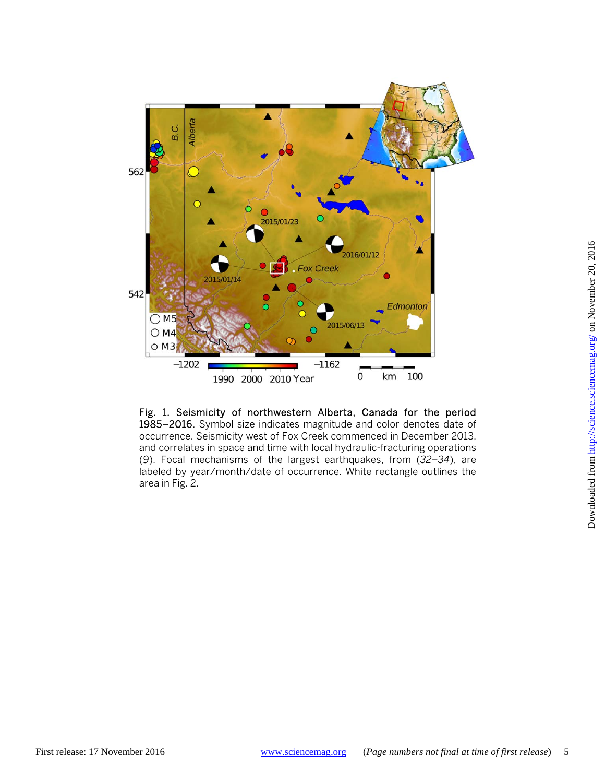

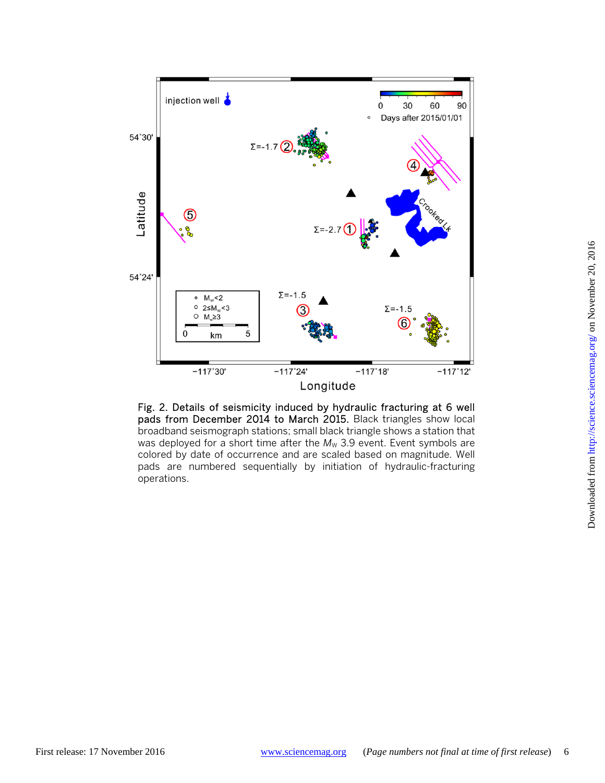

Fig. 2. Details of seismicity induced by hydraulic fracturing at 6 well pads from December 2014 to March 2015. Black triangles show local broadband seismograph stations; small black triangle shows a station that was deployed for a short time after the  $M_W$  3.9 event. Event symbols are colored by date of occurrence and are scaled based on magnitude. Well pads are numbered sequentially by initiation of hydraulic-fracturing operations.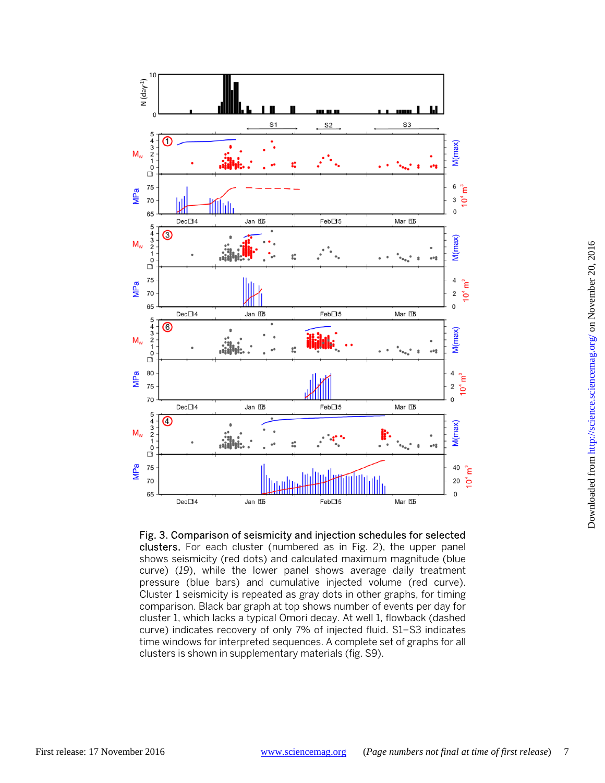

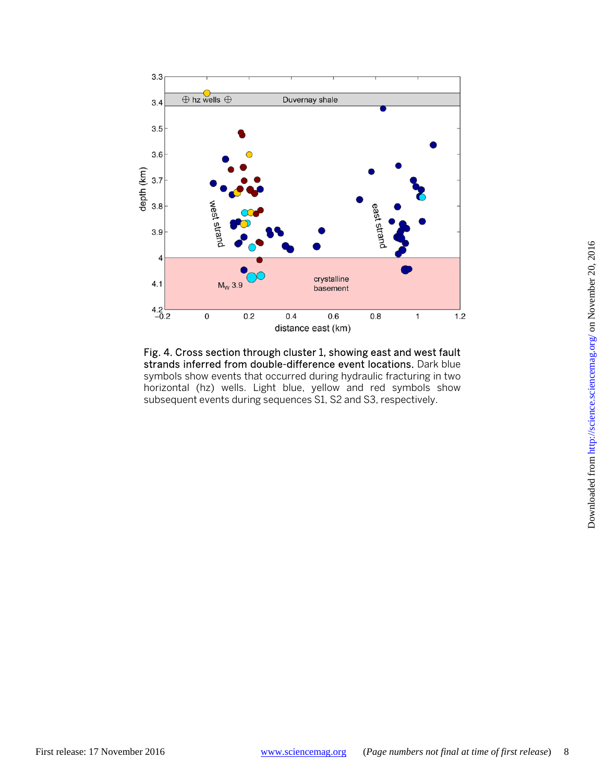

Fig. 4. Cross section through cluster 1, showing east and west fault strands inferred from double-difference event locations. Dark blue symbols show events that occurred during hydraulic fracturing in two horizontal (hz) wells. Light blue, yellow and red symbols show subsequent events during sequences S1, S2 and S3, respectively.